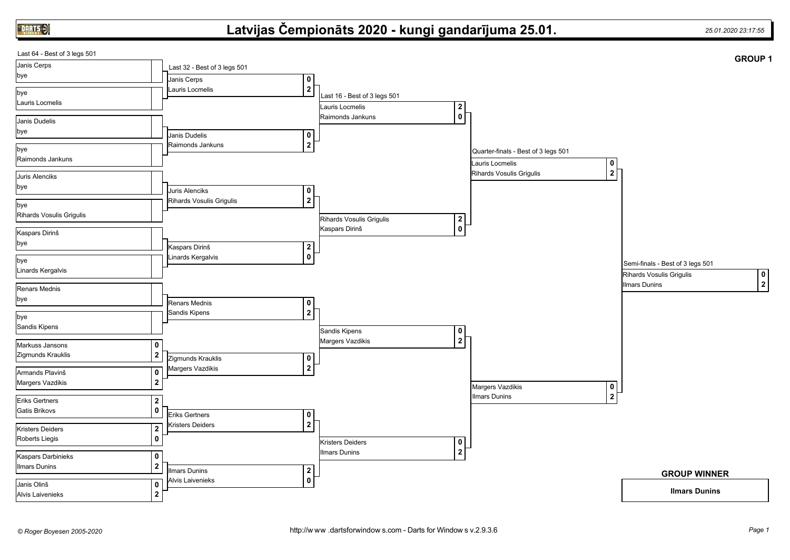**DARTS** 

## **Latvijas Čempionāts 2020 - kungi gandarījuma 25.01.** *25.01.2020 23:17:55*

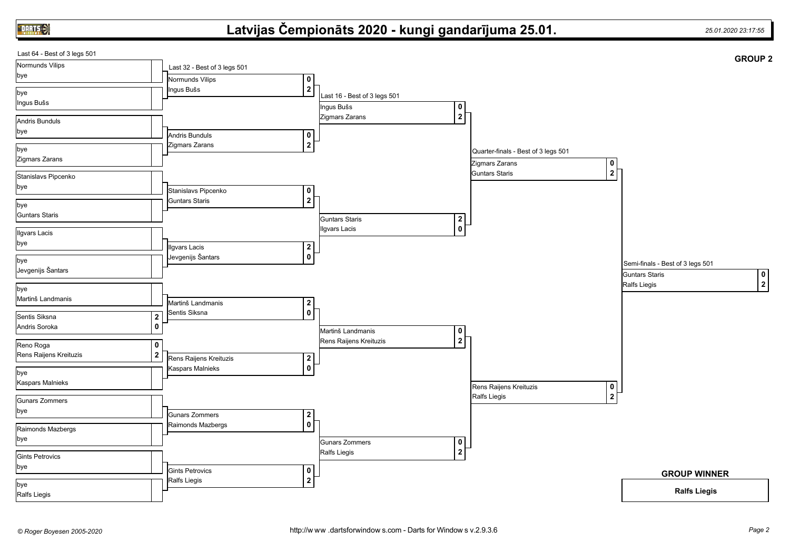**DARTS** 

## **Latvijas Čempionāts 2020 - kungi gandarījuma 25.01.** *25.01.2020 23:17:55*